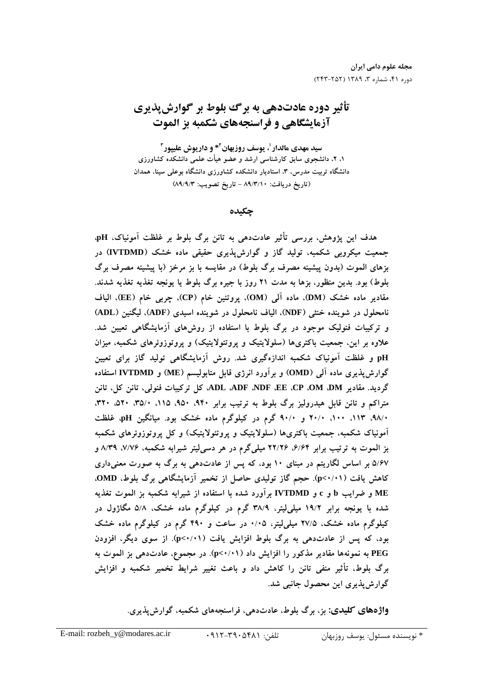# تأثير دوره عادتدهي به برگ بلوط بر گوارش پذيري آزمایشگاهی و فراسنجههای شکمبه بز الموت

سید مهدی مالدار <sup>۱</sup>، یوسف روزبهان<sup>۲</sup>\* و داریوش علیپور<sup>۳</sup> ۱، ۲، دانشجوی سابق کارشناسی ارشد و عضو هیأت علمی دانشکده کشاورزی دانشگاه تربیت مدرس، ۳، استادیار دانشکده کشاورزی دانشگاه بوعلی سینا، همدان (تاریخ دریافت: ۸۹/۳/۱۰ - تاریخ تصویب: ۸۹/۹/۳)

چکىدە

هدف این پژوهش، بررسی تأثیر عادتدهی به تانن برگ بلوط بر غلظت آمونیاک، pH، جمعیت میکروبی شکمبه، تولید گاز و گوارش پذیری حقیقی ماده خشک (IVTDMD) در بزهای الموت (بدون پیشینه مصرف برگ بلوط) در مقایسه با بز مرخز (با پیشینه مصرف برگ بلوط) بود. بدین منظور، بزها به مدت ۲۱ روز با جیره برگ بلوط یا یونجه تغذیه تغذیه شدند. مقادیر ماده خشک (DM)، ماده آلمی (OM)، پروتئین خام (CP)، چربی خام (EE)، الیاف نامحلول در شوینده خنثی (NDF)، الیاف نامحلول در شوینده اسیدی (ADF)، لیگنین (ADL) و ترکیبات فنولیک موجود در برگ بلوط با استفاده از روش های آزمایشگاهی تعیین شد. علاوه بر این، جمعیت باکتریها (سلولایتیک و پروتئولایتیک) و پروتوزوئرهای شکمبه، میزان pH و غلظت آمونیاک شکمبه اندازهگیری شد. روش آزمایشگاهی تولید گاز برای تعیین گوارشپذیری ماده آلمی (OMD) و برآورد انرژی قابل متابولیسم (ME) و IVTDMD استفاده گردید. مقادیر ADE ADF ADF ،EE ،CP ،OM ،DM، کل ترکیبات فنولی، تانن کل، تانن متراکم و تانن قابل هیدرولیز برگ بلوط به ترتیب برابر ۹۴۰، ۵۲۰، ۱۱۵، ۳۵/۰، ۵۲۰، ۳۲۰، ۰/۹۸، ۵۱۳، ۱۰۰، ۲۰/۰ و ۹۰/۰ گرم در کیلوگرم ماده خشک بود. میانگین pH، غلظت آمونیاک شکمبه، جمعیت باکتریها (سلولایتیک و پروتئولایتیک) و کل پروتوزوئرهای شکمبه بز الموت به ترتیب برابر ۶/۶۴، ۲۲/۲۶ میلیگرم در هر دسیلیتر شیرابه شکمبه، ۷/۷۶، ۸/۳۹ م ۵/۶۷ بر اساس لگاریتم در مبنای ۱۰ بود، که پس از عادتدهی به برگ به صورت معنیداری کاهش یافت (p<۱/۱۱). حجم گاز تولیدی حاصل از تخمیر آزمایشگاهی برگ بلوط، OMD، ME و ضرایب b و c و IVTDMD برآورد شده با استفاده از شیرابه شکمبه بز الموت تغذیه شده با یونجه برابر ۱۹/۲ میلی[یتر، ۳۸/۹ گرم در کیلوگرم ماده خشک، ۵/۸ مگاژول در کیلوگرم ماده خشک، ۲۷/۵ میلی[یتر، ۰/۰۵ در ساعت و ۴۹۰ گرم در کیلوگرم ماده خشک بود، که پس از عادتدهی به برگ بلوط افزایش یافت (p<۰/۰۱). از سوی دیگر، افزودن PEG به نمونهها مقادیر مذکور را افزایش داد (p<۱/۱). در مجموع، عادتدهی بز الموت به برگ بلوط، تأثیر منفی تانن را کاهش داد و باعث تغییر شرایط تخمیر شکمبه و افزایش گوارش پذیری این محصول جانبی شد.

**واژههای کلیدی:** بز، برگ بلوط، عادتدهی، فراسنجههای شکمبه، گوارشپذیری.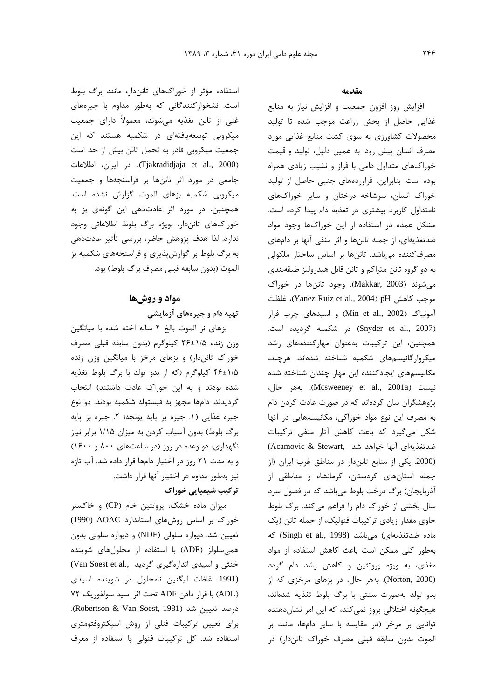استفاده مؤثر از خوراکهای تانندار، مانند برگ بلوط است. نشخوارکنندگان*ی* که بهطور مداوم با جبرههای .<br>غني از تانن تغذيه ميشوند، معمولاً داراي جمعيت میکروپی توسعه بافتهای در شکمیه هستند که این جمعیت میکروبی قادر به تحمل تانن بیش از حد است 1,^L <9 6 .(Tjakradidjaja et al., 2000) حامعي در مورد اثر تانيها بر فراسنجهها و جمعيت میکاویی شکمیه بزها*ی* الموت گزارش نشده است. همحنين، د. مورد اثر عادتدهي اين گونهي بز به .<br>خوراک@ای تانندان بوشی برگ بلوط اطلاعاتی وجود .<br>ندارد. لذا هدف پژوهش حاضر، پررس*ی* تأثیر عادتده*ی* به برگ بلوط بر گولش بذري و فراسنجههاي شكميه بز الموت (بدون سابقه قبلي مصرف برگ بلوط) بود.

# مواد و روشها تهیه دام و جیرههای آزمایشی

.<br>من هاي نير الموت بالغ ٢ ساله اخته شده با مبانگين  $\frac{1}{2}$ وزن زنده ۱/۵ $\pm$ ۴۶ کیلوگرم (بدون سابقه قبلی مصرف خوراک تانه:دار) و پزهای مرخز با میانگین وزن زنده ه/۱±۴۶ کیلوگرم (که از بدو تولد با برگ بلوط تغذیه شده بودند و به این خوراک عادت داشتند) انتخاب گرديدند. دامها محهز به فيستوله شكميه بودند. دو نوع .<br>د حده غذایی (۱. حده بر بایه بونچه؛ ۲. حده بر بایه د گ بلوط) بدون آسیات کردن به میزان ۱/۱۵ دایر نیاز .<br>نگهداری، دو وعده د<sub>ر ر</sub>وز (در ساعتهای ۸۰۰ و ۱۶۰۰) و به مدت ٢١ روز در اختيار دامها قرار داده شد. آب تازه .<br>نیز بهطور مداوم در اختیار آنها قرار داشت. ترکیب شیمیایی خوراک

ميزان ماده خشك، پروتئين خام (CP) و خاكستر .<br>خوراک بر اساس روشهای استاندارد AOAC (1990) تعیین شد. دیواره سلولی (NDF) و دیواره سلولی بدون همی سلولز (ADF) با استفاده از محلولهای شوینده .<br>خنثی و اسیدی اندازهگیری گردید ..Van Soest et al .<br>(1991. غلظت ليگنين نامحلول در شوينده اسيدي (ADL) با قرار دادن ADF تحت اثر اسید سولفوریک ۷۲ .(Robertson & Van Soest, 1981) - (6 راي تعيين تركيبات فنلي أن روش إسبكتروفتومتر*ي* استفاده شد. كل تركيبات فنولى با استفاده از معرف

#### مقدمه

افزايش روز افزون جمعيت و افزايش نياز به منابع .<br>غذایی حاصل از بخش زراعت موجب شده تا تولید محصولات کشاورزی به سوی کشت منابع غذایی مورد مصرف انسان پیش رود. به همین دلیل، تولید و قیمت خوراکهای متداول دامی با فراز و نشب زیادی همراه وده است. بنابراین، فراوردههای جنبی حاصل از تولید J .<br>خوراک انسان، سرشاخه درختان و سایر خوراکهای .<br>نامتداول کاربرد بیشتری در تغذیه دام پیدا کرده است. مشکل عمده در استفاده از این خوراکها وجود مواد ضدتغذيهاي، از حمله تاننها و اثر منفي آنها بر دامهاي مصرف *ک*ننده می باشد. تان ها از اساس اساختار ملکولی .<br>به دو گروه تانن متراکم و تانن قابل هیدرولیز طبقهبندی مي شوند (Makkar, 2003). وجود تاننها در خوراک  $\epsilon$  موجب كاهش Yanez Ruiz et al., 2004) pH موجب كاهش .<br>آمونیاک (Min et al., 2002) و اسیدهای چرب فرار در شكمبه گرديده است. (Snyder et al., 2007) همجنین، این ترکیبات بهعنوان مهارکنندههای رشد میک ول گانیسمهای شکمیه شناخته شدهاند. هرچند، مکانیسمهای ایجادکننده این مهار جندان شناخته شده نيست (Mcsweeney et al., 2001a). بههر حال، .<br>پژوهشگران بیان کردهاند که در صورت عادت کردن دام به مصرف ابن نوع مواد خوراك*ي،* مكانيسمهايي در آنها .<br>ن شکل میگیرد که باعث کاهش آثار منفی ترکیبات .<br>ضدتغذیهای آنها خواهد شد ,Acamovic & Stewart .<br>(2000. یکی از منابع تانندار در مناطق غرب ایران (از حمله استانهای کردستان، کرمانشاه و مناطق*ی* از آذ، بابجان) برگ د.خت بلوط مه باشد که د. فصول سرد سال بخشی از خوراک دام را فراهم می کند. برگ بلوط حاوي مقدار زيادي تركيبات فنوليك، از حمله تانن (يک ماده ضدتغذیهای) میباشد (Singh et al., 1998) که .<br>بهطور کلب ممکن است باعث کاهش استفاده از مواد مغذی، به ویژه پروتئین و کاهش رشد دام گردد (Norton, 2000). بههر حال، در بزهای مرخزی که از ىدە تولد پەصورت سنتى با پەگ بلوط تغذيە شدەاند، هبچگونه اختلالی بروز نم*ی ک*ند، که این امر نشان دهنده .<br>توانایی با مرخا (در مقایسه با سایر دامها، مانند با الموت بدون سابقه قبلي مصرف خوراک تانن(ار) در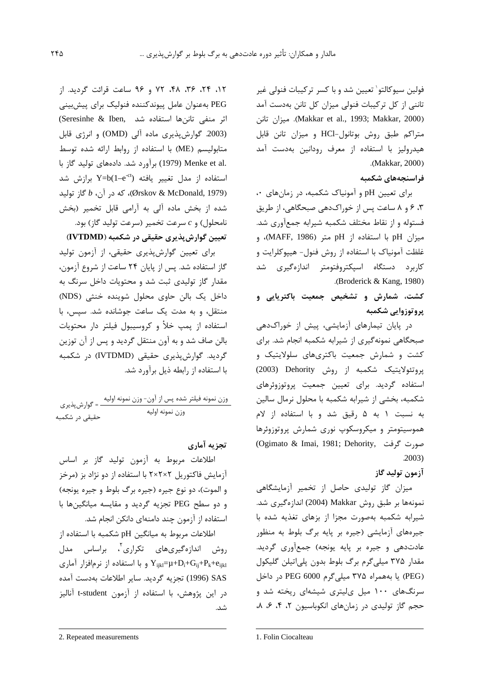فولين سيوكالتو` تعيين شد و با كسر تركيبات فنولي غير تاننی از کل ترکیبات فنولی میزان کل تانن بهدست آمد (Makkar et al., 1993; Makkar, 2000). ميزان تانن متراكم طبق روش بوتانول-HCl و ميزان تانن قابل هیدرولیز با استفاده از معرف رودانین بهدست آمد .(Makkar, 2000)

### فراسنجەهای شکمیه

برای تعیین pH و آمونیاک شکمبه، در زمانهای ۰، ۴، ۶ و ۸ ساعت پس از خوراک دهی صبحگاهی، از طریق فستوله و از نقاط مختلف شکمبه شیرابه جمعآوری شد. ميزان pH با استفاده از pH متر (MAFF, 1986)، و غلظت آمونیاک با استفاده از روش فنول- هیپوکلرایت و کاربرد دستگاه اسپکتروفتومتر اندازهگیری شد .(Broderick & Kang, 1980)

## کشت، شمارش و تشخیص جمعیت باکترپایی و يروتوزوايي شكمبه

در پایان تیمارهای آزمایشی، پیش از خوراکدهی صبحگاهی نمونهگیری از شیرابه شکمبه انجام شد. برای کشت و شمارش جمعیت باکتریهای سلولایتیک و یروتئولایتیک شکمبه از روش Dehority (2003) استفاده گردید. برای تعیین جمعیت پروتوزوئرهای شکمبه، بخشی از شیرابه شکمبه با محلول نرمال سالین به نسبت ۱ به ۵ رقیق شد و با استفاده از لام هموسیتومتر و میکروسکوپ نوری شمارش پروتوزوئرها صورت گرفت (Ogimato & Imai, 1981; Dehority,  $.2003$ 

### آزمون توليد گاز

میزان گاز تولیدی حاصل از تخمیر آزمایشگاهی نمونهها بر طبق روش Makkar (2004) اندازهگیری شد. شیرابه شکمبه بهصورت مجزا از بزهای تغذیه شده با جیرههای آزمایشی (جیره بر پایه برگ بلوط به منظور عادت دهی و جیره بر پایه یونجه) جمعآوری گردید. مقدار ۳۷۵ میلی گرم برگ بلوط بدون پلیاتیلن گلیکول (PEG) یا بههمراه ۳۷۵ میلیگرم PEG 6000 در داخل سرنگهای ۱۰۰ میل یلیتری شیشهای ریخته شد و حجم گاز تولیدی در زمانهای انکوباسیون ٢، ۴، ۶، ٨،

١٢، ٢۴، ٣۶، ۴٨، ٧٢ و ٩۶ ساعت قرائت گرديد. از PEG بهعنوان عامل ييوندكننده فنوليك براي ييشبيني اثر منفى تاننها استفاده شد .(Seresinhe & Iben (2003. گوارش پذیری ماده آلی (OMD) و انرژی قابل متابولیسم (ME) با استفاده از روابط ارائه شده توسط .Menke et al (1979) برآورد شد. دادههای تولید گاز با استفاده از مدل تغییر یافته (Y=b(1–e<sup>-ct</sup>) برازش شد (299) (291 McDonald,)، که در آن، b گاز تولید) شده از بخش ماده آلی به آرامی قابل تخمیر (بخش  $c_1$ نامحلول) و  $c_2$  سرعت تخمیر (سرعت تولید گاز) بود. تعیین گوارشپذیری حقیقی در شکمبه (IVTDMD)

برای تعیین گوارش پذیری حقیقی، از آزمون تولید گاز استفاده شد. پس از پایان ۲۴ ساعت از شروع آزمون، مقدار گاز تولیدی ثبت شد و محتویات داخل سرنگ به داخل یک بالن حاوی محلول شوینده خنثی (NDS) منتقل، و به مدت یک ساعت جوشانده شد. سپس، با استفاده از پمپ خلأ و كروسيبول فيلتر دار محتويات بالن صاف شد و به آون منتقل گردید و پس از آن توزین گردید. گوارشپذیری حقیقی (IVTDMD) در شکمبه با استفاده از ,ابطه ذبل برآورد شد.

#### تحزيه آماري

اطلاعات مربوط به آزمون توليد گاز بر اساس آزمایش فاکتوریل ۲×۲×۲ با استفاده از دو نژاد بز (مرخز و الموت)، دو نوع جيره (جيره برگ بلوط و جيره يونجه) و دو سطح PEG تجزيه گرديد و مقايسه ميانگينها با استفاده از آزمون چند دامنهای دانکن انجام شد.

اطلاعات مربوط به میانگین pH شکمبه با استفاده از روش اندازهگیریهای تکراری'، براساس مدل  $Y_{ijkl} = \mu + D_i + G_{ij} + P_k + e_{ijkl}$ و با استفاده از نرمافزار آماری SAS (1996) تجزيه گرديد. ساير اطلاعات بهدست آمده در این پژوهش، با استفاده از آزمون t-student آنالیز شد.

<sup>2.</sup> Repeated measurements

<sup>1.</sup> Folin Ciocalteau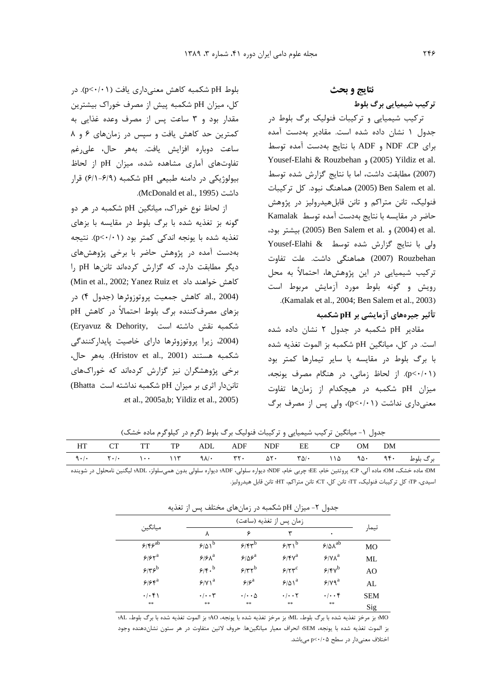.<br>بلوط pH شکمبه کاهش معنی۱داری یافت (p<۰/۰۱). در كل، ميزان pH شكمبه پيش از مصرف خوراك بيشترين مقدار بود و ۳ ساعت بس از مصرف وعده غذایی به كمترين حد كاهش يافت و سپس در زمان هاى ۶ و ۸ ساعت دوباره افزايش يافت. بههر حال، علىرغم تفاوتهای آماری مشاهده شده، میزان pH از لحاظ بیولوژیکی در دامنه طبیعی pH شکمبه (۶/۹-۶/۱) قرار .(McDonald et al., 1995) !-6

از لحاظ نوع خوراک، میانگین pH شکمبه در هر دو ; گونه بز ت**غ**ذبه شده با برگ بلوط د. مقایسه با بزها*ی* تغذیه شده با یونجه اندکی کمتر بود (p<۰/۰۱). نتیجه بهدست آمده در پژوهش حاضر با برخی پژوهشهای دیگر مطابقت دارد، که گزارش کردهاند تاننها pH را كاهش خواهند داد Min et al., 2002; Yanez Ruiz et) .<br>(2004 .al., كاهش جمعيت يروتوزوئرها (جدول ۴) در بزهای مصرفکننده برگ بلوط احتمالاً در کاهش pH .<br>شکمبه نقش داشته است ,(Eryavuz & Dehority) .<br>(2004، زیرا پروتوزوئرها دارای خاصیت پایدارکنندگی شكمبه هستند (Hristov et al., 2001). بههر حال، .<br>برخص پژوهشگران نیز گزارش کردهاند که خوراکهای .<br>تانندار اثری بر میزان pH شکمبه نداشته است Bhatta) .et al., 2005a,b; Yildiz et al., 2005) نتايج و بحث

ترکیب شیمیایی برگ بلوط

.<br>ترکیب شیمیایی و ترکیبات فنولیک برگ بلوط د<sub>ن</sub> حدول ۱ نشان داده شده است. مقادیر بهدست آمده برای NDF ،CP و ADF با نتایج بهدست آمده توسط Yousef-Elahi & Rouzbehan (2005) Yildiz et al. .<br>(2007) مطابقت داشت، اما با نتايج گزارش شده توسط .alem et al (2005) هماهنگ نبود. كل تركيبات) .<br>فنولیک، تانن متراکم و تانن قابلهیدرولیز در پژوهش .<br>حاضر در مقايسه با نتايج بهدست آمده توسط Kamalak <6- 9A/ (2005) Ben Salem et al. (2004) et al. ولی با نتایج گزارش شده توسط Xousef-Elahi & 2007) Rouzbehan هماهنگی داشت. علت تفاوت ترکیب شیمیایی در این پژوهشها، احتمالاً به محل رویش و گونه بلوط مورد آزمایش مربوط است .(Kamalak et al., 2004; Ben Salem et al., 2003)

تأثیر جیرەهای آزمایشی بر pH شکمبه

مقادیر pH شکمبه در جدول ۲ نشان داده شده است. در كل، ميانگين pH شكمبه بز الموت تغذيه شده .<br>با برگ بلوط در مقایسه با سایر تیمارها کمتر بود (p<٠/٠١). از لحاظ زمانی، در هنگام مصرف یونجه، ميزان pH شكمبه در هيچكدام از زمانها تفاوت معنی داری نداشت (p<-(·۱)، ولی پس از مصرف برگ

|  |  | HT CT TT TP ADL ADF NDF EE CP OM DM |  |  |  |  |
|--|--|-------------------------------------|--|--|--|--|
|  |  |                                     |  |  |  |  |

جدول ۱- میانگین ترکیب شیمیایی و ترکیبات فنولیک برگ بلوط (گرم در کیلوگرم ماده خشک)

DM؛ ماده خشک، OH؛ وداده آلی، CP؛ پروتئین خام، EE؛ چربی خام، NDF؛ دیواره سلولی، ADF؛ دیواره سلولی بدون همیسلولز، ADL؛ لیگنین نامحلول در شوینده اسيدي، TP؛ كل تركيبات فنوليك، TT؛ تانن كل، CT؛ تانن متراكم، HT؛ تانن قابل هيدروليز.

| پس ر ست<br>سیرین نموسست در رسن سی<br>جسور ، |                      |                            |                                   |                     |                |  |  |  |
|---------------------------------------------|----------------------|----------------------------|-----------------------------------|---------------------|----------------|--|--|--|
|                                             |                      |                            | زمان پس از تغذيه (ساعت)           |                     |                |  |  |  |
| ميانگين                                     | ٨                    | ۶                          | ٣                                 | ٠                   | تيمار          |  |  |  |
| 5/5                                         | $9/01^b$             | 5/5                        | 5/7                               | $9/8\lambda^{ab}$   | MO             |  |  |  |
| 5/56                                        | $9/8\lambda^a$       | $9/88^a$                   | $5/\gamma \gamma^a$               | $Y/Y\Lambda^a$      | ML             |  |  |  |
| $\epsilon$ ع                                | 9/5                  | $5/77^b$                   | $5/77^c$                          | $9/8V^b$            | A <sub>O</sub> |  |  |  |
| $998^a$                                     | $S/Y$ <sup>a</sup>   | $\epsilon$ اع              | $9/01^a$                          | $Y/Yq^a$            | AL             |  |  |  |
| .1.51                                       | $\cdot/\cdot\cdot$ ۳ | $\cdot$ / $\cdot$ $\Delta$ | $\cdot$ / $\cdot$ $\cdot$ $\cdot$ | $\cdot$ / $\cdot$ ۴ | <b>SEM</b>     |  |  |  |
| **                                          | **                   | **                         | **                                | **                  | Sig            |  |  |  |

 $\epsilon$   $\sim$   $\epsilon$   $\sim$   $\epsilon$   $\sim$   $\epsilon$   $\sim$   $\epsilon$   $\sim$   $\epsilon$   $\sim$   $\epsilon$   $\sim$   $\epsilon$   $\sim$   $\epsilon$   $\sim$   $\epsilon$   $\sim$   $\epsilon$   $\sim$   $\epsilon$   $\sim$   $\epsilon$   $\sim$   $\epsilon$   $\sim$   $\epsilon$   $\sim$   $\epsilon$   $\sim$   $\epsilon$   $\sim$   $\epsilon$   $\sim$   $\epsilon$   $\sim$   $\epsilon$   $\sim$   $\epsilon$   $\sim$   $\epsilon$   $\sim$ 

MO؛ بز مرخز تغذيه شده با برگ بلوط، ML؛ بز مرخز تغذيه شده با يونجه، AO؛ بز الموت تغذيه شده با برگ بلوط، AL؛ بز الموت تغذيه شده با يونجه، SEM؛ انحراف معيار ميانگينها. حروف لاتين متفاوت در هر ستون نشاندهنده وجود اختلاف معنیدار در سطح p<٠/٠۵ میباشد.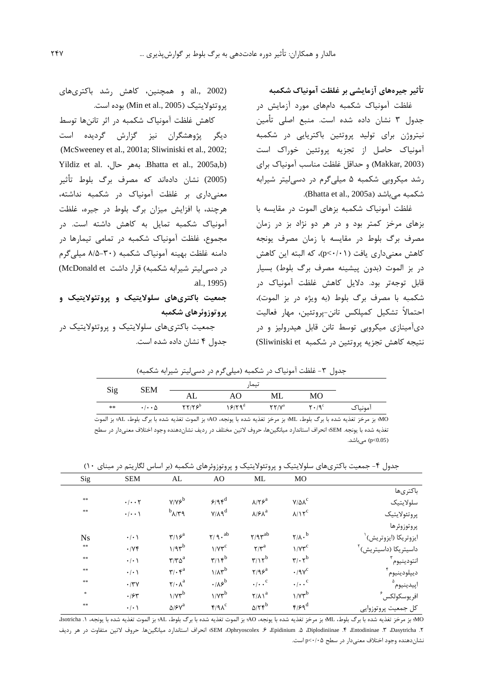### تأثیر جیرەهای آزمایشی بر غلظت آمونیاک شکمبه

غلظت آمونیاک شکمبه دامهای مورد آزمایش در جدول ۳ نشان داده شده است. منبع اصلی تأمین نیتروژن برای تولید پروتئین باکتریایی در شکمبه آمونیاک حاصل از تجزیه پروتئین خوراک است (Makkar, 2003) و حداقل غلظت مناسب آمونیاک برای رشد میکروبی شکمبه ۵ میلیگرم در دسی لیتر شیرابه شکمبه مے باشد (Bhatta et al., 2005a).

غلظت آمونیاک شکمبه بزهای الموت در مقایسه با بزهای مرخز کمتر بود و در هر دو نژاد بز در زمان مصرف برگ بلوط در مقایسه با زمان مصرف یونجه كاهش معنى داري يافت (p<٠/٠١)، كه البته اين كاهش در بز الموت (بدون پیشینه مصرف برگ بلوط) بسیار قابل توجهتر بود. دلایل کاهش غلظت آمونیاک در شكمبه با مصرف برگ بلوط (به ويژه در بز الموت)، احتمالاً تشكيل كمپلكس تانن-پروتئين، مهار فعاليت دیآمینازی میکروبی توسط تانن قابل هیدرولیز و در نتيجه كاهش تجزيه پروتئين در شكمبه Sliwiniski et)

al., 2002) و همچنین، کاهش رشد باکتریهای يروتئولايتيک (Min et al., 2005) بوده است.

كاهش غلظت آمونياك شكمبه در اثر تاننها توسط دیگر پژوهشگران نیز گزارش گردیده است (McSweeney et al., 2001a; Sliwiniski et al., 2002; Yildiz et al. (بههر حال, Bhatta et al., 2005a,b) (2005) نشان دادهاند که مصرف برگ بلوط تأثیر معنى دارى بر غلظت آمونياك در شكمبه نداشته، هرچند، با افزایش میزان برگ بلوط در جیره، غلظت آمونیاک شکمبه تمایل به کاهش داشته است. در مجموع، غلظت آمونیاک شکمبه در تمامی تیمارها در دامنه غلظت بهينه آمونياك شكمبه (٣٠-٨/۵ ميلي كرم در دسے لیتر شیرابه شکمیه) قرار داشت McDonald et) .al., 1995)

## جمعیت باکتریهای سلولایتیک و پروتئولایتیک و پروتوزوئرهای شکمبه

جمعیت باکتریهای سلولایتیک و پروتئولایتیک در جدول ۴ نشان داده شده است.

| جدول ۳- غلظت آمونیاک در شکمبه (میلیگرم در دسی لیتر شیرابه شکمبه) |                            |                                                          |                    |                                                |                      |         |  |  |
|------------------------------------------------------------------|----------------------------|----------------------------------------------------------|--------------------|------------------------------------------------|----------------------|---------|--|--|
|                                                                  | <b>SEM</b>                 |                                                          |                    |                                                |                      |         |  |  |
| Sig                                                              |                            | AL                                                       | AO.                | ML                                             | <b>MO</b>            |         |  |  |
| **                                                               | $\cdot$ / $\cdot$ $\wedge$ | $\mathsf{Y}\mathsf{Y}/\mathsf{Y}\mathsf{S}^{\mathsf{b}}$ | 15/79 <sup>d</sup> | $\mathsf{Y}\mathsf{Y}/\mathsf{V}^{\mathrm{a}}$ | $Y \cdot 19^{\circ}$ | امونیاک |  |  |

MO؛ بز مرخز تغذيه شده با برگ بلوط، ML؛ بز مرخز تغذيه شده با يونجه، AO؛ بز الموت تغذيه شده با برگ بلوط، AL؛ بز الموت تغذیه شده با یونجه. SEM؛ انحراف استاندارد میانگینها، حروف لاتین مختلف در ردیف نشاندهنده وجود اختلاف معنیدار در سطح ( p<0.05) مے باشد.

جدول ۴- جمعیت باکتریهای سلولایتیک و پروتئولایتیک و پروتوزوئرهای شکمبه (بر اساس لگاریتم در مبنای ۱۰)

| Sig       | <b>SEM</b>                        | AL                                             | A <sub>O</sub>                       | ML                                   | <b>MO</b>                                  |                          |
|-----------|-----------------------------------|------------------------------------------------|--------------------------------------|--------------------------------------|--------------------------------------------|--------------------------|
|           |                                   |                                                |                                      |                                      |                                            | باكترىها                 |
| $\pm\pm$  | $\cdot$ / $\cdot$ $\cdot$ $\cdot$ | $Y/Y$ ۶ <sup>b</sup>                           | $9/95^d$                             | $\lambda/\Upsilon$ ۶ <sup>a</sup>    | $V/\Delta\Lambda^c$                        | سلولايتيك                |
| **        | $\cdot$ / $\cdot$ \               | $b_{\lambda/\Upsilon}$                         | $Y/\lambda$ q <sup>d</sup>           | $\lambda$ /۶ $\lambda^a$             | $\lambda/\lambda \tau^c$                   | پروتئولايتيك             |
|           |                                   |                                                |                                      |                                      |                                            | پروتوزوئرها              |
| <b>Ns</b> | $\cdot/\cdot$ )                   | $\mathbf{r}/\mathbf{v}^{\mathrm{a}}$           | $\gamma$ / 9 $\cdot$ $^{\rm ab}$     | $Y$ ۹۳ $^{ab}$                       | $\mathsf{Y}/\mathsf{A}\cdot^{\mathsf{b}}$  | ايزوتريكا (ايزوتريش)     |
| $\pm\pm$  | .1YF                              | $1/9r^b$                                       | $1/VY^c$                             | $\gamma/\gamma^a$                    | $1/VY^c$                                   | داسیتریکا (داسیتریش)     |
| **        | $\cdot$   $\cdot$                 | $\mathbf{r}/\mathbf{r}\mathbf{a}^{\mathrm{a}}$ | $\mathbf{r}/\mathbf{r}^{\mathrm{b}}$ | $\mathbf{r}/\mathbf{r}^{\mathrm{b}}$ | $\mathbf{r}/\cdot \mathbf{r}^{\mathrm{b}}$ | انتودينيوم ٰ             |
| **        | $\cdot$ / $\cdot$ \               | $\mathbf{r}/\cdot \mathbf{r}^{\mathrm{a}}$     | $1/\lambda r^{b}$                    | $Y/9e^a$                             | $\cdot$ /9 $v^c$                           | ديپلودينيوم              |
| **        | $\cdot$ /٣٧                       | $\mathbf{Y}/\cdot \mathbf{A}^{\mathrm{a}}$     | $\cdot$ / $\lambda$ ۶ <sup>b</sup>   | $\cdot/\cdot \cdot^c$                | $\cdot/\cdot \cdot^c$                      | اپيدينيوم'               |
| $\ast$    | .184                              | $1/Vr^b$                                       | $1/\gamma r^b$                       | $\mathsf{Y}/\mathsf{A}$ <sup>a</sup> | $1/\gamma r^b$                             | افريوسكولكس <sup>۶</sup> |
| **        | $\cdot$ / $\cdot$ )               | $\Delta/\mathfrak{F}\gamma^a$                  | f/AC                                 | $\Delta/\tau$ reb                    | $f/\mathcal{F}q^d$                         | كل جمعيت پروتوزوايي      |

MO؛ بز مرخز تغذيه شده با برگ بلوط، ML؛ بز مرخز تغذيه شده با يونجه، AD؛ بز الموت تغذيه شده با برگ بلوط، AL؛ بز الموت تغذيه شده با يونجه، ١. Jsotricha ۲. Dasytricha، ۳. Dasytricha، ۵. Diplodiniinae، ۶. Epidinium، ۶. Epidinium، انحراف استاندارد میانگینها. حروف لاتین متفاوت در هر ردیف نشاندهنده وجود اختلاف معنیدار در سطح p<۰/۰۵ است.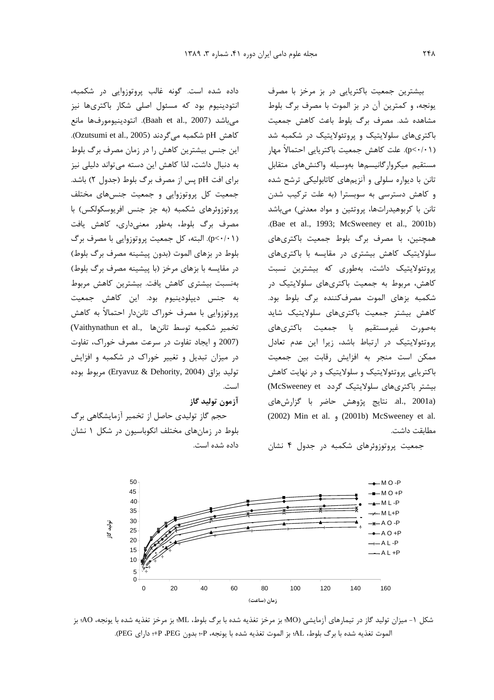داده شده است. گونه غالب بروتوزوایی در شکمیه، .<br>نتودینیوم بود که مسئول اصلی شکار باکتری ها نیز  $\overline{\phantom{a}}$ م باشد (Baah et al., 2007). انتودينيومورفها مانع .<br>كاهش pH شكمبه مي گردند (Ozutsumi et al., 2005). ابن جنس بیشترین کاهش را در زمان مصرف برگ بلوط به دنبال داشت، لذا کاهش این دسته مرتواند دلیلی نیز برای افت pH یس از مصرف برگ بلوط (جدول ۲) باشد. جمعیت کل پروتوزوایی و جمعیت جنسهای مختلف دوتوزوئرهاي شكميه (به جز جنس افريوسكولكس) با مصرف برگ بلوط، بەطور معنیرداری، کاهش بافت (p<-/+۱). البته، كل جمعيت پروتوزوايي با مصرف برگ .<br>بلوط د. بزهای الموت (بدون بیشینه مصرف برگ بلوط) د. مقابسه با بزهای مرخز (با بیشینه مصرف برگ بلوط) .<br>پەنسىت پىشترى كاھش پافت. پىشترىن كاھش مربوط به جنس ديبلودينيوم بود. ابن كاهش جمعيت روتوزوایی با مصرف خوراک تانن(ار احتمالاً به کاهش .<br>تخمیر شکمبه توسط تاننها .,Vaithynathun et al .<br>(2007 و ايجاد تفاوت در سرعت مصرف خوراك، تفاوت در میزان تبدیل و تغییر خوراک در شکمبه و افزایش توليد بزاق (Eryavuz & Dehority, 2004) مربوط بوده است.

 / 0--.

حجم گاز تولیدی حاصل از تخمیر آزمایشگاهی برگ .<br>بلوط در زمانهای مختلف انکوباسیون در شکل ۱ نشان داده شده است.

بیشترین جمعیت باکتریایی در بز مرخز با مصرف بونجه، و كمترين آن در بز الموت با مصرف برگ بلوط مشاهده شد. مصرف برگ بلوط باعث کاهش جمعیت .<br>باکتریهای سلولایتیک و بروتئولایتیک در شکمیه شد p<-/·\)). علت كاهش جمعيت باكتريايي احتمالاً مهار مستقيم ميكروارگانيسمها بهوسيله واكنشهاى متقابل .<br>تانن با دیواره سلولی و آنزیههای کاتابولیکی ترشح شده .<br>و کاهش دستاسی به سوسیتا (به علت تاکیب شدن تانن با کریوهید<sub>د</sub>اتها، پروتئین و مواد معدنی) مے باشد .(Bae et al., 1993; McSweeney et al., 2001b) همحنین، با مصرف برگ بلوط جمعیت باکتریهای سلولایتیک کاهش پیشتای د. مقایسه با باکتای های دوتئولایتیک داش*ت،* بهطوری که پیشترین نسبت کاهش، مربوط به حمعیت باکتری های سلولایتیک در .<br>شکمیه بزهای الموت مصرفکننده برگ بلوط بود. ۔<br>کاهش پیشتر جمعیت پاکتری،های سلولایتیک شاہد .<br>يەصورت غىرمستقىم با جمعيت باكترىھا*ي* دوتئولایتیک در ارتباط باشد، زبرا این عدم تعادل ممكن است منجر به افزايش رقابت بين جمعيت .<br>پاکتریایی پروتئولایتیک و سلولایتیک و در نهایت کاهش .<br>بیشتر باکتریهای سلولایتیک گردد McSweeney et) .<br>(al., 2001a. نتايج يژوهش حاضر با گزارشهاي (2002) Min et al. <sub>9</sub> (2001b) McSweeney et al. مطابقت داشت.

حمعیت بروتوزوئرهای شکمیه در حدول ۴ نشان



شكل ١- ميزان توليد گاز در تيمارهاي آزمايشي (MO؛ بز مرخز تغذيه شده با برگ بلوط، ML؛ بز مرخز تغذيه شده با يونجه، AO؛ بز الموت تغذيه شده با برگ بلوط، AL؛ بز الموت تغذيه شده با يونجه، P÷؛ بدون PEG، P+؛ داراي PEG).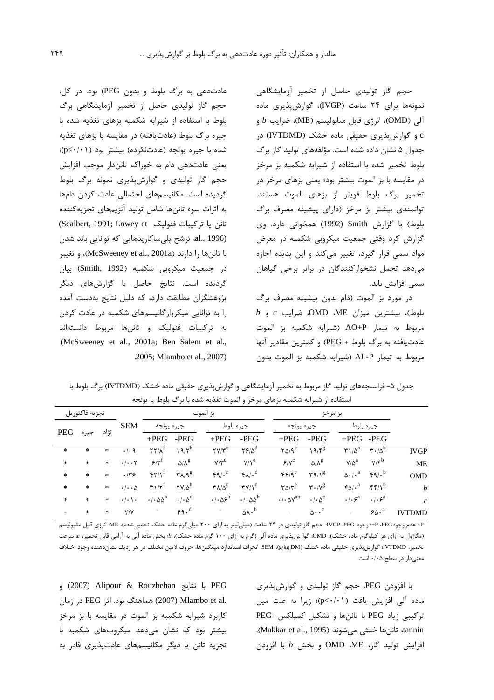حجم گاز تولیدی حاصل از تخمیر آزمایشگاهی .<br>نمونهها برای ۲۴ ساعت (IVGP)، گوارشیذیری ماده  $b$  ألى (OMD)، انرژى قابل متابوليسم (ME)، ضرايب  $b$  و e و گوارش بذیری حقیقی ماده خشک (IVTDMD) در حدول ۵ نشان داده شده است. مؤلفههای تولید گا: برگ .<br>بلوط تخمیر شده با استفاده از شیرابه شکمیه بز مرخز د. مقايسه با بز الموت بيشتر بود؛ بعني بزهاي مرخز د. .<br>تخمیر رگ بلوط قویتر از بزهای الموت هستند. .<br>توانمندی پیشتر بز مرخز (دارای پیشینه مصرف برگ .<br>بلوط) با گزارش Smith (1992) همخوانی دارد. وی گزارش کرد وقتی جمعیت میکروبی شکمبه در معرض مواد سمه قال گیرد، تغییر میکند و آب<sup>.</sup>ر بدیده اجازه میدهد تحمل نشخوارکنندگان در برابر برخی گیاهان سمى افزايش يابد.

د. مورد بز الموت (دام بدون بیشینه مصرف برگ  $b$  ,  $c$  بیشترین میزان ME، ME مرایب  $c$  و مربوط به تيمار AO+P (شيرابه شكمبه بز الموت .<br>عادتیافته به برگ بلوط + PEG) و کمترین مقادیر آنها مربوط به تيمار AL-P (شيرابه شكمبه بز الموت بدون

.<br>عادتدهی به برگ بلوط و بدون PEG) بود. در کل، حجم گاز تولیدی حاصل از تخمیر آزمایشگاهی برگ .<br>بلوط با استفاده از شیرایه شکمیه بزهای تغذیه شده با حبره برگ بلوط (عادتِبافته) د. مقايسه با بزهاي تغذيه شده با جیره یونجه (عادتنکرده) بیشتر بود (p<۰/۰۱)؛ تعني عادتدهي دام به خوراک تانندار موجب افزايش حجم گاز توليدي و گوارش بذيري نمونه برگ بلوط گ دیده است. مکانیسمهای احتمالی عادت کردن دامها .<br>به اثرات سو**ء** تاننها شامل توليد آنزيمهاي تجزيهكننده .<br>تانن یا ترکیبات فنولیک Scalbert, 1991; Lowey et) .<br>(1996 .al., ترشح يلي ساكاريدهايي كه توانايي باند شدن با تاننها را دارند (McSweeney et al., 2001a)، و تغییر در جمعیت میکروبی شکمبه (Smith, 1992) بیان گردیده است. نتایج حاصل با گزارشهای دیگر .<br>پژوهشگران مطابقت دارد، که دلیل نتایج بهدست آمده را به توانایی میکروار گانیسمهای شکمیه در عادت کردن به تركيبات فنوليك و تاننها مربوط دانستهاند .(McSweeney et al., 2001a; Ben Salem et al., .2005; Mlambo et al., 2007)

جدول ۵- فراسنجههای تولید گاز مربوط به تخمیر آزمایشگاهی و گوارشپذیری حقیقی ماده خشک (IVTDMD) برگ بلوط با استفاده از شیرابه شکمبه بزهای مرخز و الموت تغذیه شده با برگ بلوط یا یونجه

|                  | بز مرخز                       |                                     |                                                |                                           | بز الموت                                      |                                                |                                                     |                                                   |                                 | تجزيه فاكتوريل |        |        |  |
|------------------|-------------------------------|-------------------------------------|------------------------------------------------|-------------------------------------------|-----------------------------------------------|------------------------------------------------|-----------------------------------------------------|---------------------------------------------------|---------------------------------|----------------|--------|--------|--|
|                  |                               | جيره بلوط                           |                                                | جيره يونجه                                |                                               | جيره بلوط                                      |                                                     |                                                   | جيره يونجه                      | <b>SEM</b>     |        |        |  |
|                  | -PEG                          | $+{\rm PEG}$                        | $-PEG$                                         | $+PEG$                                    | -PEG                                          | $+PEG$                                         | $-PEG$                                              | $+PEG$                                            |                                 | نژاد           | جيره   | PEG    |  |
| <b>IVGP</b>      | $\mathbf{r} \cdot \mathbf{r}$ | $\Gamma$ 1/ $\Delta^a$              | 19/F <sup>g</sup>                              | $\gamma \Delta / 9^e$                     | $Y \div \Delta^d$                             | $\mathsf{Y}\mathsf{Y}/\mathsf{Y}^{\mathsf{C}}$ | $\eta \eta / \eta^h$                                | $\Upsilon\Upsilon/\Lambda^1$                      | .4.9                            | $\ast$         | $\ast$ | $\ast$ |  |
| <b>ME</b>        | $V/F^b$                       | $V/\Delta^a$                        | $\Delta/\Lambda^g$                             | $P/V^c$                                   | $V/\lambda^e$                                 | $V/Y^d$                                        | $\Delta/\Lambda^g$                                  | $5/\gamma^{\rm f}$                                | $\cdot/\cdot\cdot$ $\mathsf{r}$ | $\ast$         | *      | *      |  |
| <b>OMD</b>       | $\mathfrak{r}_1$              | $\Delta \cdot / \cdot^{\mathrm{a}}$ | $\mathbf{r}\mathbf{a}/\mathbf{v}^{\mathrm{g}}$ | $\mathfrak{f}\mathfrak{f}/\mathfrak{q}^e$ | $f\Lambda/\cdot^d$                            | $f \circ \sim$                                 | $\mathbf{Y}$ $\Lambda$ / $\mathbf{q}^{\mathcal{g}}$ | $\mathfrak{f}\mathfrak{f}/\mathfrak{f}$           | .149                            | *              | *      | $\ast$ |  |
| $\boldsymbol{b}$ | f(f)                          | $f \Delta / \cdot$ <sup>a</sup>     | $\mathbf{r} \cdot \mathbf{y}^{\mathrm{g}}$     | $\mathbf{r}\Delta/\mathbf{r}^e$           | $\mathbf{Y}/\mathbf{V}^{\mathrm{d}}$          | $\mathbf{Y}\Lambda/\Delta^{\mathrm{C}}$        | $\Upsilon V/\Delta^h$                               | $\mathbf{r} \mathbf{1} / \mathbf{r}^{\mathrm{f}}$ | $\cdot/\cdot\cdot\Delta$        | *              | $\ast$ | $\ast$ |  |
| $\mathcal{C}$    | $\cdot/\cdot\varphi^a$        | $\cdot/\cdot\varphi^a$              | $\cdot/\cdot \Delta^c$                         | $\cdot$ / $\cdot$ $\Delta V^{ab}$         | $\cdot$ / $\cdot$ $\Delta\Delta^{\mathrm{b}}$ | $\cdot/\cdot\Delta^{b}$                        | $\cdot/\cdot \Delta^c$                              | $\cdot$ / $\cdot$ $\Delta\Delta^{\rm b}$          | $\cdot$ / $\cdot$ \ $\cdot$     | $\ast$         | $\ast$ | *      |  |
| TDMD<br>IV       | $50 \cdot a$                  | $\overline{\phantom{0}}$            | $\Delta \cdot \cdot$ <sup>c</sup>              | $\overline{\phantom{m}}$                  | $\Delta \Lambda \cdot$ <sup>b</sup>           |                                                | 49.4                                                | Ξ.                                                | Y/Y                             | $\ast$         | $\ast$ |        |  |

P: عدم وجودPeEG +P وجود IVGP .PEG حجم گاز تولیدی در ۲۴ ساعت (میلیلیتر به ازای ۲۰۰ میلیگرم ماده خشک تخمیر شده)، ME؛ انرژی قابل متابولیسم (مگاژول به ازای هر کیلوگرم ماده خشک)، OMD؛ گوارش<sub>ی</sub>ذیری ماده آلی (گرم به ازای ۱۰۰ گرم ماده خشک)، *b*؛ بخش ماده آلی به آرامی قابل تخمیر، x سرعت تخمير، VTDMD؛ گوارش،ديري حقيقي ماده خشک (g/kg DM)، SEM؛ انحراف استاندارد ميانگينها، حروف لاتين مختلف در هر رديف نشاندهنده وجود اختلاف معنیدار در سطح ۰/۰۵ است.

> .<br>با افزودن PEG، حجم گاز تولیدی و گوارش پذیری ماده آلى افزايش يافت (p<٠/٠١)؛ زيرا به علت ميل .<br>ترکیبی زیاد PEG با تاننها و تشکیل کمپلکس -PEG tannin، تاننها خنثي مي شوند (Makkar et al., 1995). افزايش توليد گاز، OMD ،ME و بخش b با افزودن

وا نتايج Rouzbehan با نتايج (2007) و (2007) .et al (2007) Mlambo et al) هماهنگ بود. اثر PEG در زمان کاردد شدایه شکمیه بز الموت د. مقایسه با بز مرخز ۔<br>بیشتر بود که نشان مےدهد میکروپھای شکمیه با .<br>تحزیه تانن با دیگر مکانیسمهای عادتبذیری قادر به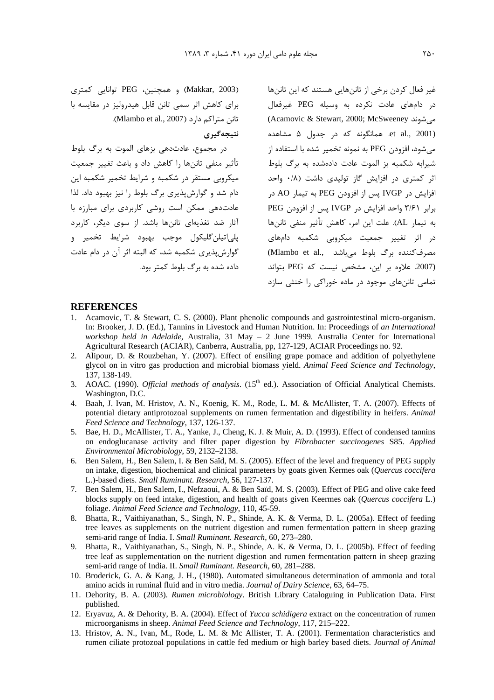ر Makkar, 2003) و همچنین، PEG توانایی کمتری برای کاهش اثر سمی تانن قابل هیدرولیز در مقایسه با تانن متراكم دارد (Mlambo et al., 2007).

#### نتيجەگيرى

د. محموع، عادتدهي بزها*ي* الموت به برگ بلوط .<br>تأثير منفي تاننها را كاهش داد و باعث تغيير جمعيت میکروبی مستقر در شکمبه و شرایط تخمیر شکمبه این دام شد و گوارش بذیری برگ بلوط را نیز بهبود داد. لذا عادتدهی ممکن است روشی کاربردی برای مبارزه با .<br>آثار ضد تغذیهای تانیها باشد. از سوی دیگی کاربرد بله اتبلن گلیکول موجب بهبود شرایط تخمیر و گوارش بذبری شکمیه شد، که البته اثر آن در دام عادت داده شده به برگ بلوط کمتر بود.

غبر فعال کادن برخی از تاننهایی هستند که آبن تاننها در دامهای عادت نکرده به وسیله PEG غیرفعال .<br>مى شوند (Acamovic & Stewart, 2000; McSweeney) et al., 2001). همانگونه که در جدول ۵ مشاهده می شود، افزودن PEG به نمونه تخمیر شده با استفاده از .<br>شیرابه شکمیه بز الموت عادت دادهشده به برگ بلوط اثر کمتری در افزایش گاز تولیدی داشت (۰/۸ واحد افزايش در IVGP يس از افزودن PEG به تيمار AO در برابر ٣/۶١ واحد افزايش در IVGP يس از افزودن PEG به تيمار AL). علت اين امر، كاهش تأثير منفي تاننها در اثر تغییر جمعیت میکروبی شکمبه دامهای ر<br>مصرف کننده برگ بلوط می باشد (Mlambo et al., .<br>2007. علاوه بر این، مشخص نیست که PEG بتواند ۔<br>تمامے تانی های موجود در مادہ خوراکی را خنش سازد

### **REFERENCES**

- 1. Acamovic, T. & Stewart, C. S. (2000). Plant phenolic compounds and gastrointestinal micro-organism. In: Brooker, J. D. (Ed.), Tannins in Livestock and Human Nutrition. In: Proceedings of *an International workshop held in Adelaide*, Australia, 31 May – 2 June 1999. Australia Center for International Agricultural Research (ACIAR), Canberra, Australia, pp, 127-129, ACIAR Proceedings no. 92.
- 2. Alipour, D. & Rouzbehan, Y. (2007). Effect of ensiling grape pomace and addition of polyethylene glycol on in vitro gas production and microbial biomass yield. *Animal Feed Science and Technology*, 137, 138-149.
- 3. AOAC. (1990). *Official methods of analysis*. (15<sup>th</sup> ed.). Association of Official Analytical Chemists. Washington, D.C.
- 4. Baah, J. Ivan, M. Hristov, A. N., Koenig, K. M., Rode, L. M. & McAllister, T. A. (2007). Effects of potential dietary antiprotozoal supplements on rumen fermentation and digestibility in heifers. *Animal Feed Science and Technology*, 137, 126-137.
- 5. Bae, H. D., McAllister, T. A., Yanke, J., Cheng, K. J. & Muir, A. D. (1993). Effect of condensed tannins on endoglucanase activity and filter paper digestion by *Fibrobacter succinogenes* S85. *Applied Environmental Microbiology*, 59, 2132–2138.
- 6. Ben Salem, H., Ben Salem, I. & Ben Saïd, M. S. (2005). Effect of the level and frequency of PEG supply on intake, digestion, biochemical and clinical parameters by goats given Kermes oak (*Quercus coccifera* L.)-based diets. *Small Ruminant. Research*, 56, 127-137.
- 7. Ben Salem, H., Ben Salem, I., Nefzaoui, A. & Ben Saïd, M. S. (2003). Effect of PEG and olive cake feed blocks supply on feed intake, digestion, and health of goats given Keermes oak (*Quercus coccifera* L.) foliage. *Animal Feed Science and Technology*, 110, 45-59.
- 8. Bhatta, R., Vaithiyanathan, S., Singh, N. P., Shinde, A. K. & Verma, D. L. (2005a). Effect of feeding tree leaves as supplements on the nutrient digestion and rumen fermentation pattern in sheep grazing semi-arid range of India. I. *Small Ruminant. Research*, 60, 273–280.
- 9. Bhatta, R., Vaithiyanathan, S., Singh, N. P., Shinde, A. K. & Verma, D. L. (2005b). Effect of feeding tree leaf as supplementation on the nutrient digestion and rumen fermentation pattern in sheep grazing semi-arid range of India. II. *Small Ruminant. Research,* 60, 281–288.
- 10. Broderick, G. A. & Kang, J. H., (1980). Automated simultaneous determination of ammonia and total amino acids in ruminal fluid and in vitro media. *Journal of Dairy Science*, 63, 64–75.
- 11. Dehority, B. A. (2003). *Rumen microbiology*. British Library Cataloguing in Publication Data. First published.
- 12. Eryavuz, A. & Dehority, B. A. (2004). Effect of *Yucca schidigera* extract on the concentration of rumen microorganisms in sheep. *Animal Feed Science and Technology*, 117, 215–222.
- 13. Hristov, A. N., Ivan, M., Rode, L. M. & Mc Allister, T. A. (2001). Fermentation characteristics and rumen ciliate protozoal populations in cattle fed medium or high barley based diets. *Journal of Animal*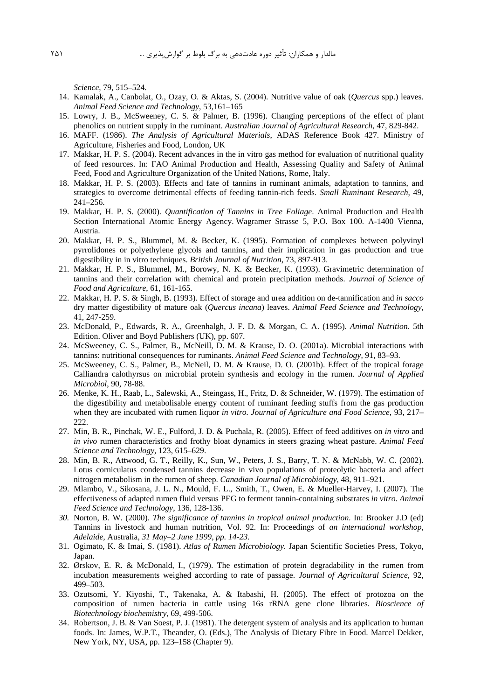*Science*, 79, 515–524.

- 14. Kamalak, A., Canbolat, O., Ozay, O. & Aktas, S. (2004). Nutritive value of oak (*Quercus* spp.) leaves. *Animal Feed Science and Technology*, 53,161–165
- 15. Lowry, J. B., McSweeney, C. S. & Palmer, B. (1996). Changing perceptions of the effect of plant phenolics on nutrient supply in the ruminant. *Australian Journal of Agricultural Research*, 47, 829-842.
- 16. MAFF. (1986). *The Analysis of Agricultural Materials*, ADAS Reference Book 427. Ministry of Agriculture, Fisheries and Food, London, UK
- 17. Makkar, H. P. S. (2004). Recent advances in the in vitro gas method for evaluation of nutritional quality of feed resources. In: FAO Animal Production and Health, Assessing Quality and Safety of Animal Feed, Food and Agriculture Organization of the United Nations, Rome, Italy.
- 18. Makkar, H. P. S. (2003). Effects and fate of tannins in ruminant animals, adaptation to tannins, and strategies to overcome detrimental effects of feeding tannin-rich feeds. *Small Ruminant Research,* 49, 241–256.
- 19. Makkar, H. P. S. (2000). *Quantification of Tannins in Tree Foliage*. Animal Production and Health Section International Atomic Energy Agency. Wagramer Strasse 5, P.O. Box 100. A-1400 Vienna, Austria.
- 20. Makkar, H. P. S., Blummel, M. & Becker, K. (1995). Formation of complexes between polyvinyl pyrrolidones or polyethylene glycols and tannins, and their implication in gas production and true digestibility in in vitro techniques. *British Journal of Nutrition*, 73, 897-913.
- 21. Makkar, H. P. S., Blummel, M., Borowy, N. K. & Becker, K. (1993). Gravimetric determination of tannins and their correlation with chemical and protein precipitation methods. *Journal of Science of Food and Agriculture*, 61, 161-165.
- 22. Makkar, H. P. S. & Singh, B. (1993). Effect of storage and urea addition on de-tannification and *in sacco* dry matter digestibility of mature oak (*Quercus incana*) leaves. *Animal Feed Science and Technology*, 41, 247-259.
- 23. McDonald, P., Edwards, R. A., Greenhalgh, J. F. D. & Morgan, C. A. (1995). *Animal Nutrition*. 5th Edition. Oliver and Boyd Publishers (UK), pp. 607.
- 24. McSweeney, C. S., Palmer, B., McNeill, D. M. & Krause, D. O. (2001a). Microbial interactions with tannins: nutritional consequences for ruminants. *Animal Feed Science and Technology,* 91, 83–93.
- 25. McSweeney, C. S., Palmer, B., McNeil, D. M. & Krause, D. O. (2001b). Effect of the tropical forage Calliandra calothyrsus on microbial protein synthesis and ecology in the rumen. *Journal of Applied Microbiol*, 90, 78-88.
- 26. Menke, K. H., Raab, L., Salewski, A., Steingass, H., Fritz, D. & Schneider, W. (1979). The estimation of the digestibility and metabolisable energy content of ruminant feeding stuffs from the gas production when they are incubated with rumen liquor *in vitro. Journal of Agriculture and Food Science*, 93, 217– 222.
- 27. Min, B. R., Pinchak, W. E., Fulford, J. D. & Puchala, R. (2005). Effect of feed additives on *in vitro* and *in vivo* rumen characteristics and frothy bloat dynamics in steers grazing wheat pasture. *Animal Feed Science and Technology,* 123, 615–629.
- 28. Min, B. R., Attwood, G. T., Reilly, K., Sun, W., Peters, J. S., Barry, T. N. & McNabb, W. C. (2002). Lotus corniculatus condensed tannins decrease in vivo populations of proteolytic bacteria and affect nitrogen metabolism in the rumen of sheep. *Canadian Journal of Microbiology,* 48, 911–921.
- 29. Mlambo, V., Sikosana, J. L. N., Mould, F. L., Smith, T., Owen, E. & Mueller-Harvey, I. (2007). The effectiveness of adapted rumen fluid versus PEG to ferment tannin-containing substrates *in vitro*. *Animal Feed Science and Technology*, 136, 128-136.
- *30.* Norton, B. W. (2000). *The significance of tannins in tropical animal production*. In: Brooker J.D (ed) Tannins in livestock and human nutrition, Vol. 92. In: Proceedings of *an international workshop, Adelaide*, Australia, *31 May–2 June 1999, pp. 14-23.*
- 31. Ogimato, K. & Imai, S. (1981). *Atlas of Rumen Microbiology.* Japan Scientific Societies Press, Tokyo, Japan.
- 32. Ørskov, E. R. & McDonald, I., (1979). The estimation of protein degradability in the rumen from incubation measurements weighed according to rate of passage. *Journal of Agricultural Science*, 92, 499–503.
- 33. Ozutsomi, Y. Kiyoshi, T., Takenaka, A. & Itabashi, H. (2005). The effect of protozoa on the composition of rumen bacteria in cattle using 16s rRNA gene clone libraries. *Bioscience of Biotechnology biochemistry*, 69, 499-506.
- 34. Robertson, J. B. & Van Soest, P. J. (1981). The detergent system of analysis and its application to human foods. In: James, W.P.T., Theander, O. (Eds.), The Analysis of Dietary Fibre in Food. Marcel Dekker, New York, NY, USA, pp. 123–158 (Chapter 9).